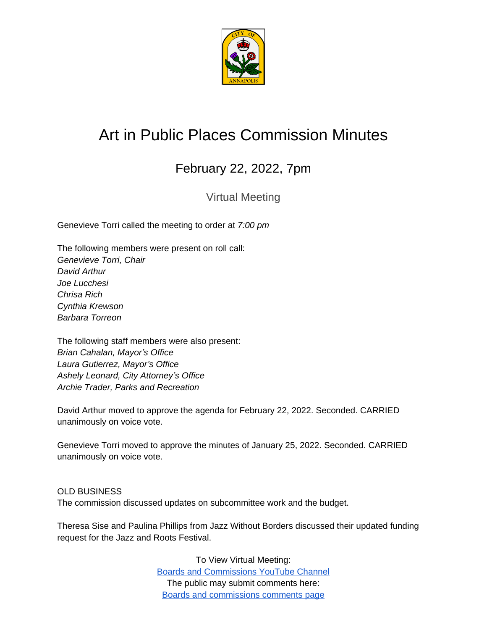

## Art in Public Places Commission Minutes

## February 22, 2022, 7pm

Virtual Meeting

Genevieve Torri called the meeting to order at *7:00 pm*

The following members were present on roll call: *Genevieve Torri, Chair David Arthur Joe Lucchesi Chrisa Rich Cynthia Krewson Barbara Torreon*

The following staff members were also present: *Brian Cahalan, Mayor's Office Laura Gutierrez, Mayor's Office Ashely Leonard, City Attorney's Office Archie Trader, Parks and Recreation*

David Arthur moved to approve the agenda for February 22, 2022. Seconded. CARRIED unanimously on voice vote.

Genevieve Torri moved to approve the minutes of January 25, 2022. Seconded. CARRIED unanimously on voice vote.

OLD BUSINESS The commission discussed updates on subcommittee work and the budget.

Theresa Sise and Paulina Phillips from Jazz Without Borders discussed their updated funding request for the Jazz and Roots Festival.

> To View Virtual Meeting: [Boards and Commissions YouTube Channel](https://www.youtube.com/c/annapolisboardsandcommissions) The public may submit comments here: [Boards and commissions comments page](https://www.annapolis.gov/515/Boards-Commissions-Info)